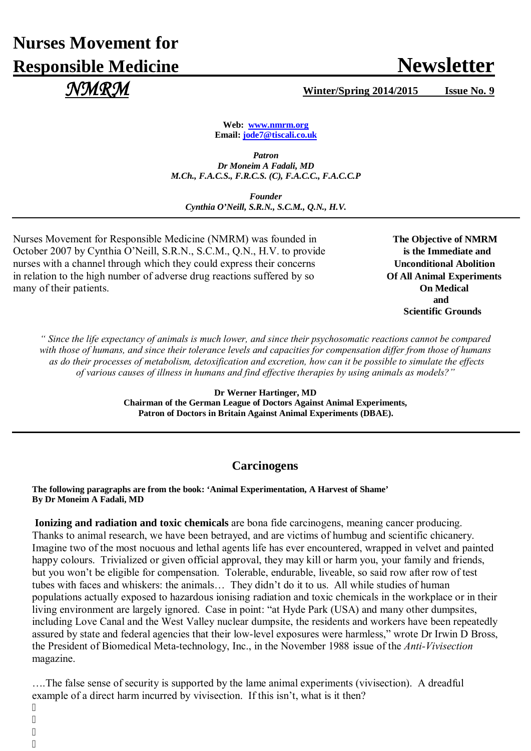# **Nurses Movement for Responsible Medicine Newsletter**

*NMRM* **Winter/Spring 2014/2015 Issue No. 9**

**Web: [www.nmrm.org](http://www.nmrm.org/) Email: [jode7@tiscali.co.uk](mailto:jode7@tiscali.co.uk)** 

*Patron Dr Moneim A Fadali, MD M.Ch., F.A.C.S., F.R.C.S. (C), F.A.C.C., F.A.C.C.P*

*Founder Cynthia O'Neill, S.R.N., S.C.M., Q.N., H.V.*

Nurses Movement for Responsible Medicine (NMRM) was founded in The Objective of NMRM October 2007 by Cynthia O'Neill, S.R.N., S.C.M., Q.N., H.V. to provide **is the Immediate and** nurses with a channel through which they could express their concerns **Unconditional Abolition** in relation to the high number of adverse drug reactions suffered by so **Of All Animal Experiments** many of their patients. **On Medical**

 **and**  **Scientific Grounds**

*" Since the life expectancy of animals is much lower, and since their psychosomatic reactions cannot be compared with those of humans, and since their tolerance levels and capacities for compensation differ from those of humans as do their processes of metabolism, detoxification and excretion, how can it be possible to simulate the effects of various causes of illness in humans and find effective therapies by using animals as models?"* 

> **Dr Werner Hartinger, MD Chairman of the German League of Doctors Against Animal Experiments, Patron of Doctors in Britain Against Animal Experiments (DBAE).**

### **Carcinogens**

**The following paragraphs are from the book: 'Animal Experimentation, A Harvest of Shame' By Dr Moneim A Fadali, MD**

**Ionizing and radiation and toxic chemicals** are bona fide carcinogens, meaning cancer producing. Thanks to animal research, we have been betrayed, and are victims of humbug and scientific chicanery. Imagine two of the most nocuous and lethal agents life has ever encountered, wrapped in velvet and painted happy colours. Trivialized or given official approval, they may kill or harm you, your family and friends. but you won't be eligible for compensation. Tolerable, endurable, liveable, so said row after row of test tubes with faces and whiskers: the animals… They didn't do it to us. All while studies of human populations actually exposed to hazardous ionising radiation and toxic chemicals in the workplace or in their living environment are largely ignored. Case in point: "at Hyde Park (USA) and many other dumpsites, including Love Canal and the West Valley nuclear dumpsite, the residents and workers have been repeatedly assured by state and federal agencies that their low-level exposures were harmless," wrote Dr Irwin D Bross, the President of Biomedical Meta-technology, Inc., in the November 1988 issue of the *Anti-Vivisection* magazine.

….The false sense of security is supported by the lame animal experiments (vivisection). A dreadful example of a direct harm incurred by vivisection. If this isn't, what is it then?

 $^{\prime}$  $^{\prime}$ 

 $^{\prime}$  $^{\prime}$